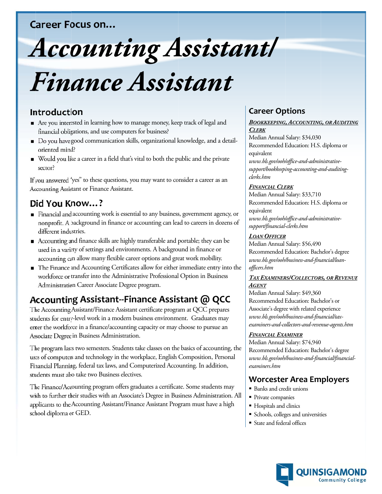## **Career Focus on...**

# **Accounting Assistant/** Finance Assistant

## Introduction

- Are you interested in learning how to manage money, keep track of legal and financial obligations, and use computers for business?
- Do you have good communication skills, organizational knowledge, and a detailoriented mind?
- Would you like a career in a field that's vital to both the public and the private sector?

If you answered "yes" to these questions, you may want to consider a career as an Accounting Assistant or Finance Assistant.

## Did You Know...?

- Financial and accounting work is essential to any business, government agency, or nonprofit. A background in finance or accounting can lead to careers in dozens of different industries.
- Accounting and finance skills are highly transferable and portable; they can be used in a variety of settings and environments. A background in finance or accounting can allow many flexible career options and great work mobility.
- The Finance and Accounting Certificates allow for either immediate entry into the workforce or transfer into the Administrative Professional Option in Business Administration Career Associate Degree program.

# Accounting Assistant--Finance Assistant @ QCC

The Accounting Assistant/Finance Assistant certificate program at QCC prepares students for entry-level work in a modern business environment. Graduates may enter the workforce in a finance/accounting capacity or may choose to pursue an Associate Degree in Business Administration.

The program lasts two semesters. Students take classes on the basics of accounting, the uses of computers and technology in the workplace, English Composition, Personal Financial Planning, federal tax laws, and Computerized Accounting. In addition, students must also take two Business electives.

The Finance/Accounting program offers graduates a certificate. Some students may wish to further their studies with an Associate's Degree in Business Administration. All applicants to the Accounting Assistant/Finance Assistant Program must have a high school diploma or GED.

## **Career Options**

#### **BOOKKEEPING, ACCOUNTING, OR AUDITING CLERK**

Median Annual Salary: \$34,030 Recommended Education: H.S. diploma or equivalent www.bls.gov/ooh/office-and-administrativesupport/bookkeeping-accounting-and-auditing-

#### **FINANCIAL CLERK**

clerks.htm

Median Annual Salary: \$33,710 Recommended Education: H.S. diploma or equivalent www.bls.gov/ooh/office-and-administrativesupport/financial-clerks.htm

#### **LOAN OFFICER**

Median Annual Salary: \$56,490 Recommended Education: Bachelor's degree www.bls.gov/ooh/business-and-financial/loanofficers.htm

#### **TAX EXAMINERS/COLLECTORS, OR REVENUE AGENT**

Median Annual Salary: \$49,360 Recommended Education: Bachelor's or Associate's degree with related experience www.bls.gov/ooh/business-and-financial/taxexaminers-and-collectors-and-revenue-agents.htm

#### **FINANCIAL EXAMINER**

Median Annual Salary: \$74,940 Recommended Education: Bachelor's degree www.bls.gov/ooh/business-and-financial/financialexaminers.htm

## **Worcester Area Employers**

- Banks and credit unions
- Private companies
- Hospitals and clinics
- Schools, colleges and universities
- State and federal offices